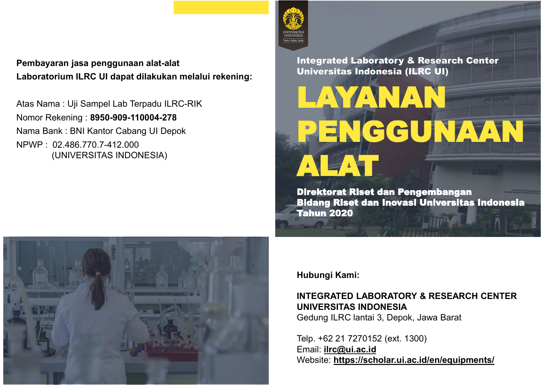## Pembayaran jasa penggunaan alat-alat Laboratorium ILRC UI dapat dilakukan melalui rekening:

Atas Nama : Uji Sampel Lab Terpadu ILRC-RIK Nomor Rekening : 8950-909-110004-278 Nama Bank : BNI Kantor Cabang UI Depok NPWP : 02.486.770.7-412.000 (UNIVERSITAS INDONESIA)



Integrated Laboratory & Research Center Universitas Indonesia (ILRC UI)

# **Direktorat Riset dan Pengembangan**

**Tahun 2020** 



Hubungi Kami:

### INTEGRATED LABORATORY & RESEARCH CENTER UNIVERSITAS INDONESIA

Gedung ILRC lantai 3, Depok, Jawa Barat

Telp. +62 21 7270152 (ext. 1300) Email: **ilrc@ui.ac.id** Website: https://scholar.ui.ac.id/en/equipments/